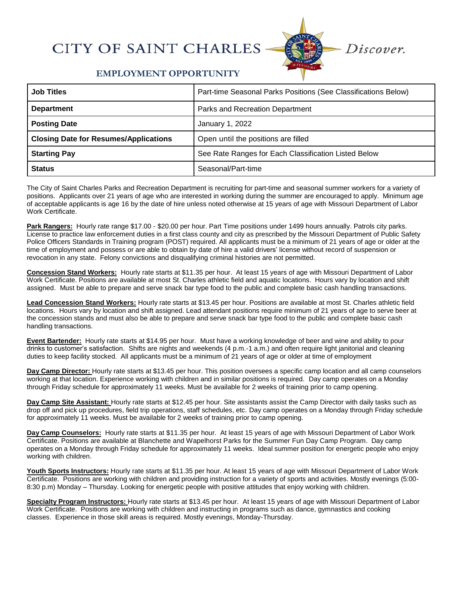## **CITY OF SAINT CHARLES**



## **EMPLOYMENT OPPORTUNITY**

| <b>Job Titles</b>                            | Part-time Seasonal Parks Positions (See Classifications Below) |
|----------------------------------------------|----------------------------------------------------------------|
| <b>Department</b>                            | Parks and Recreation Department                                |
| <b>Posting Date</b>                          | January 1, 2022                                                |
| <b>Closing Date for Resumes/Applications</b> | Open until the positions are filled                            |
| <b>Starting Pay</b>                          | See Rate Ranges for Each Classification Listed Below           |
| <b>Status</b>                                | Seasonal/Part-time                                             |

The City of Saint Charles Parks and Recreation Department is recruiting for part-time and seasonal summer workers for a variety of positions. Applicants over 21 years of age who are interested in working during the summer are encouraged to apply. Minimum age of acceptable applicants is age 16 by the date of hire unless noted otherwise at 15 years of age with Missouri Department of Labor Work Certificate.

**Park Rangers:** Hourly rate range \$17.00 - \$20.00 per hour. Part Time positions under 1499 hours annually. Patrols city parks. License to practice law enforcement duties in a first class county and city as prescribed by the Missouri Department of Public Safety Police Officers Standards in Training program (POST) required. All applicants must be a minimum of 21 years of age or older at the time of employment and possess or are able to obtain by date of hire a valid drivers' license without record of suspension or revocation in any state. Felony convictions and disqualifying criminal histories are not permitted.

**Concession Stand Workers:** Hourly rate starts at \$11.35 per hour. At least 15 years of age with Missouri Department of Labor Work Certificate. Positions are available at most St. Charles athletic field and aquatic locations. Hours vary by location and shift assigned. Must be able to prepare and serve snack bar type food to the public and complete basic cash handling transactions.

**Lead Concession Stand Workers:** Hourly rate starts at \$13.45 per hour. Positions are available at most St. Charles athletic field locations. Hours vary by location and shift assigned. Lead attendant positions require minimum of 21 years of age to serve beer at the concession stands and must also be able to prepare and serve snack bar type food to the public and complete basic cash handling transactions.

**Event Bartender:** Hourly rate starts at \$14.95 per hour. Must have a working knowledge of beer and wine and ability to pour drinks to customer's satisfaction. Shifts are nights and weekends (4 p.m.-1 a.m.) and often require light janitorial and cleaning duties to keep facility stocked. All applicants must be a minimum of 21 years of age or older at time of employment

**Day Camp Director:** Hourly rate starts at \$13.45 per hour. This position oversees a specific camp location and all camp counselors working at that location. Experience working with children and in similar positions is required. Day camp operates on a Monday through Friday schedule for approximately 11 weeks. Must be available for 2 weeks of training prior to camp opening.

**Day Camp Site Assistant:** Hourly rate starts at \$12.45 per hour. Site assistants assist the Camp Director with daily tasks such as drop off and pick up procedures, field trip operations, staff schedules, etc. Day camp operates on a Monday through Friday schedule for approximately 11 weeks. Must be available for 2 weeks of training prior to camp opening.

**Day Camp Counselors:** Hourly rate starts at \$11.35 per hour. At least 15 years of age with Missouri Department of Labor Work Certificate. Positions are available at Blanchette and Wapelhorst Parks for the Summer Fun Day Camp Program. Day camp operates on a Monday through Friday schedule for approximately 11 weeks. Ideal summer position for energetic people who enjoy working with children.

**Youth Sports Instructors:** Hourly rate starts at \$11.35 per hour. At least 15 years of age with Missouri Department of Labor Work Certificate. Positions are working with children and providing instruction for a variety of sports and activities. Mostly evenings (5:00- 8:30 p.m) Monday – Thursday. Looking for energetic people with positive attitudes that enjoy working with children.

**Specialty Program Instructors:** Hourly rate starts at \$13.45 per hour. At least 15 years of age with Missouri Department of Labor Work Certificate. Positions are working with children and instructing in programs such as dance, gymnastics and cooking classes. Experience in those skill areas is required. Mostly evenings, Monday-Thursday.